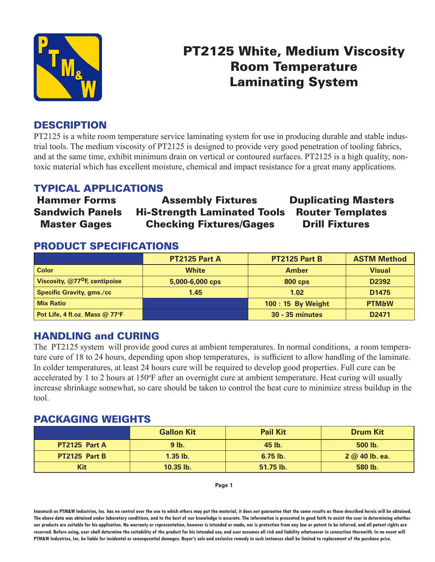

# PT2125 White, Medium Viscosity Room Temperature Laminating System

## **DESCRIPTION**

PT2125 is a white room temperature service laminating system for use in producing durable and stable industrial tools. The medium viscosity of PT2125 is designed to provide very good penetration of tooling fabrics, and at the same time, exhibit minimum drain on vertical or contoured surfaces. PT2125 is a high quality, nontoxic material which has excellent moisture, chemical and impact resistance for a great many applications.

## TYPICAL APPLICATIONS

## Hammer Forms Assembly Fixtures Duplicating Masters Sandwich Panels Hi-Strength Laminated Tools Router Templates Master Gages Checking Fixtures/Gages Drill Fixtures

### PRODUCT SPECIFICATIONS

|                                           | <b>PT2125 Part A</b> | PT2125 Part B          | <b>ASTM Method</b> |
|-------------------------------------------|----------------------|------------------------|--------------------|
| <b>Color</b>                              | <b>White</b>         | <b>Amber</b>           | <b>Visual</b>      |
| Viscosity, @77 <sup>o</sup> F, centipoise | 5,000-6,000 cps      | <b>800 cps</b>         | D <sub>2392</sub>  |
| <b>Specific Gravity, gms./cc</b>          | 1.45                 | 1.02                   | D <sub>1475</sub>  |
| <b>Mix Ratio</b>                          |                      | 100:15 By Weight       | <b>PTM&amp;W</b>   |
| Pot Life, 4 fl.oz. Mass @ 77°F            |                      | <b>30 - 35 minutes</b> | D <sub>2471</sub>  |

### HANDLING and CURING

The PT2125 system will provide good cures at ambient temperatures. In normal conditions, a room temperature cure of 18 to 24 hours, depending upon shop temperatures, is sufficient to allow handling of the laminate. In colder temperatures, at least 24 hours cure will be required to develop good properties. Full cure can be accelerated by 1 to 2 hours at 150°F after an overnight cure at ambient temperature. Heat curing will usually increase shrinkage somewhat, so care should be taken to control the heat cure to minimize stress buildup in the tool.

#### PACKAGING WEIGHTS

|               | <b>Gallon Kit</b> | <b>Pail Kit</b> | <b>Drum Kit</b>  |
|---------------|-------------------|-----------------|------------------|
| PT2125 Part A | $9$ lb.           | 45 lb.          | 500 lb.          |
| PT2125 Part B | $1.35$ lb.        | $6.75$ lb.      | $2 @ 40 lb.$ ea. |
| Kit           | $10.35$ lb.       | 51.75 lb.       | 580 lb.          |

**Page 1**

**Inasmuch as PTM&W Industries, Inc. has no control over the use to which others may put the material, it does not guarantee that the same results as those described hereis will be obtained. The above data was obtained under laboratory conditions, and to the best of our knowledge is accurate. The information is presented in good faith to assist the user in determining whether our products are suitable for his application. No warranty or representation, however is intended or made, nor is protection from any law or patent to be inferred, and all patent rights are**  reserved. Before using, user shall determine the suitability of the product for his intended use, and user assumes all risk and liability whatsoever in connection therewith. In no event will **PTM&W Industries, Inc. be liable for incidental or consequential damages. Buyer's sole and exclusive remedy in such instances shall be limited to replacement of the purchase price.**